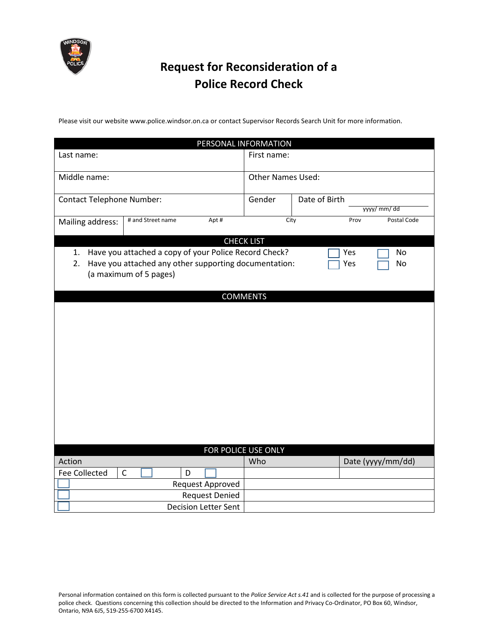

# **Request for Reconsideration of a Police Record Check**

Please visit our website www.police.windsor.on.ca or contact Supervisor Records Search Unit for more information.

| PERSONAL INFORMATION                                                                               |                          |                              |
|----------------------------------------------------------------------------------------------------|--------------------------|------------------------------|
| Last name:                                                                                         | First name:              |                              |
| Middle name:                                                                                       | <b>Other Names Used:</b> |                              |
| <b>Contact Telephone Number:</b>                                                                   | Gender                   | Date of Birth<br>yyyy/ mm/dd |
| # and Street name<br>Apt#<br>Mailing address:                                                      |                          | City<br>Postal Code<br>Prov  |
| <b>CHECK LIST</b>                                                                                  |                          |                              |
| Have you attached a copy of your Police Record Check?<br>1.                                        |                          | Yes<br>No                    |
| Have you attached any other supporting documentation:<br>2.<br>Yes<br>No<br>(a maximum of 5 pages) |                          |                              |
| <b>COMMENTS</b>                                                                                    |                          |                              |
|                                                                                                    |                          |                              |
|                                                                                                    |                          |                              |
|                                                                                                    |                          |                              |
|                                                                                                    |                          |                              |
|                                                                                                    |                          |                              |
|                                                                                                    |                          |                              |
|                                                                                                    |                          |                              |
|                                                                                                    |                          |                              |
|                                                                                                    |                          |                              |
|                                                                                                    |                          |                              |
|                                                                                                    |                          |                              |
|                                                                                                    |                          |                              |
|                                                                                                    | FOR POLICE USE ONLY      |                              |
| Action                                                                                             | Who                      | Date (yyyy/mm/dd)            |
| $\mathsf{C}$<br><b>Fee Collected</b><br>D                                                          |                          |                              |
| Request Approved                                                                                   |                          |                              |
| <b>Request Denied</b>                                                                              |                          |                              |
| <b>Decision Letter Sent</b>                                                                        |                          |                              |